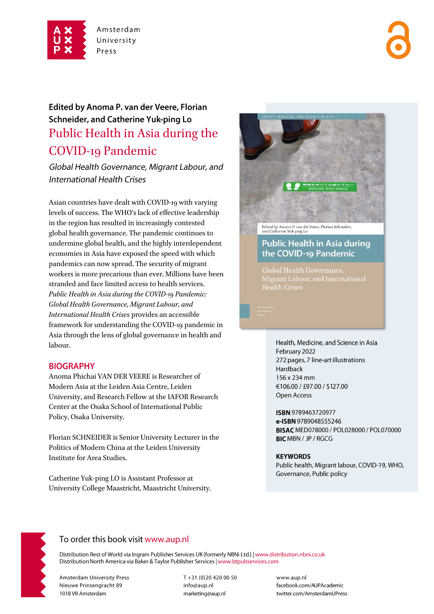

# Edited by Anoma P. van der Veere, Florian Schneider, and Catherine Yuk-ping Lo Public Health in Asia during the COVID-19 Pandemic

Global Health Governance, Migrant Labour, and **International Health Crises** 

Asian countries have dealt with COVID-19 with varying levels of success. The WHO's lack of effective leadership in the region has resulted in increasingly contested global health governance. The pandemic continues to undermine global health, and the highly interdependent economies in Asia have exposed the speed with which pandemics can now spread. The security of migrant workers is more precarious than ever. Millions have been stranded and face limited access to health services. *Public Health in Asia during the COVID-19 Pandemic: Global Health Governance, Migrant Labour, and International Health Crises* provides an accessible framework for understanding the COVID-19 pandemic in Asia through the lens of global governance in health and labour.

### **BIOGRAPHY**

Anoma Phichai VAN DER VEERE is Researcher of Modern Asia at the Leiden Asia Centre, Leiden University, and Research Fellow at the IAFOR Research Center at the Osaka School of International Public Policy, Osaka University.

Florian SCHNEIDER is Senior University Lecturer in the Politics of Modern China at the Leiden University Institute for Area Studies.

Catherine Yuk-ping LO is Assistant Professor at University College Maastricht, Maastricht University.



### **Public Health in Asia during** the COVID-19 Pandemic

**Health Crises** 

Health, Medicine, and Science in Asia February 2022 272 pages, 7 line-art illustrations Hardback 156 x 234 mm €106.00 / £97.00 / \$127.00 Open Access

ISBN 9789463720977 e-ISBN 9789048555246 BISAC MED078000 / POL028000 / POL070000 **BIC MBN / JP / RGCG** 

#### **KEYWORDS**

Public health, Migrant labour, COVID-19, WHO, Governance, Public policy



### To order this book visit www.aup.nl

Distribution Rest of World via Ingram Publisher Services UK (formerly NBNi Ltd.) | www.distribution.nbni.co.uk Distribution North America via Baker & Taylor Publisher Services | www.btpubservices.com

**Amsterdam University Press** Nieuwe Prinsengracht 89 1018 VR Amsterdam

T+31 (0)20 420 00 50 info@aup.nl marketing@aup.nl

www.aup.nl facebook.com/AUPAcademic twitter.com/AmsterdamUPress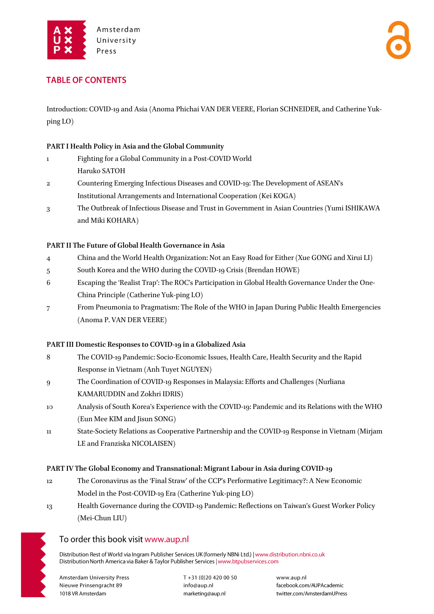

### **TABLE OF CONTENTS**

Introduction: COVID-19 and Asia (Anoma Phichai VAN DER VEERE, Florian SCHNEIDER, and Catherine Yukping LO)

#### **PART I Health Policy in Asia and the Global Community**

- 1 Fighting for a Global Community in a Post-COVID World Haruko SATOH
- 2 Countering Emerging Infectious Diseases and COVID-19: The Development of ASEAN's Institutional Arrangements and International Cooperation (Kei KOGA)
- 3 The Outbreak of Infectious Disease and Trust in Government in Asian Countries (Yumi ISHIKAWA and Miki KOHARA)

#### **PART II The Future of Global Health Governance in Asia**

- 4 China and the World Health Organization: Not an Easy Road for Either (Xue GONG and Xirui LI)
- 5 South Korea and the WHO during the COVID-19 Crisis (Brendan HOWE)
- 6 Escaping the 'Realist Trap': The ROC's Participation in Global Health Governance Under the One-China Principle (Catherine Yuk-ping LO)
- 7 From Pneumonia to Pragmatism: The Role of the WHO in Japan During Public Health Emergencies (Anoma P. VAN DER VEERE)

#### **PART III Domestic Responses to COVID-19 in a Globalized Asia**

- 8 The COVID-19 Pandemic: Socio-Economic Issues, Health Care, Health Security and the Rapid Response in Vietnam (Anh Tuyet NGUYEN)
- 9 The Coordination of COVID-19 Responses in Malaysia: Efforts and Challenges (Nurliana KAMARUDDIN and Zokhri IDRIS)
- 10 Analysis of South Korea's Experience with the COVID-19: Pandemic and its Relations with the WHO (Eun Mee KIM and Jisun SONG)
- 11 State-Society Relations as Cooperative Partnership and the COVID-19 Response in Vietnam (Mirjam LE and Franziska NICOLAISEN)

#### **PART IV The Global Economy and Transnational: Migrant Labour in Asia during COVID-19**

- 12 The Coronavirus as the 'Final Straw' of the CCP's Performative Legitimacy?: A New Economic Model in the Post-COVID-19 Era (Catherine Yuk-ping LO)
- 13 Health Governance during the COVID-19 Pandemic: Reflections on Taiwan's Guest Worker Policy (Mei-Chun LIU)



### To order this book visit www.aup.nl

Distribution Rest of World via Ingram Publisher Services UK (formerly NBNi Ltd.) | www.distribution.nbni.co.uk Distribution North America via Baker & Taylor Publisher Services | www.btpubservices.com

**Amsterdam University Press** Nieuwe Prinsengracht 89 1018 VR Amsterdam

T+31 (0)20 420 00 50 info@aup.nl marketing@aup.nl

www.aup.nl facebook.com/AUPAcademic twitter.com/AmsterdamUPress